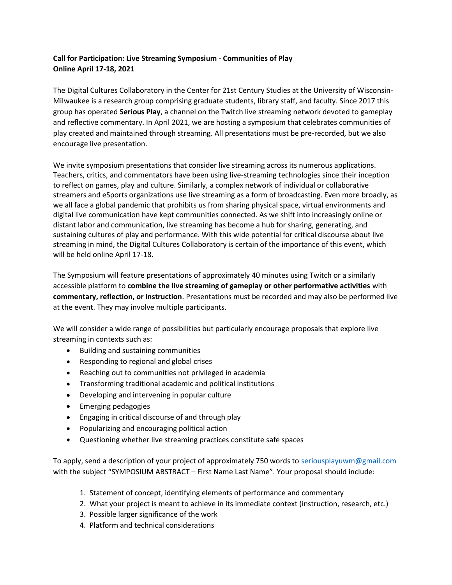## Call for Participation: Live Streaming Symposium - Communities of Play Online April 17-18, 2021

The Digital Cultures Collaboratory in the Center for 21st Century Studies at the University of Wisconsin-Milwaukee is a research group comprising graduate students, library staff, and faculty. Since 2017 this group has operated Serious Play, a channel on the Twitch live streaming network devoted to gameplay and reflective commentary. In April 2021, we are hosting a symposium that celebrates communities of play created and maintained through streaming. All presentations must be pre-recorded, but we also encourage live presentation.

We invite symposium presentations that consider live streaming across its numerous applications. Teachers, critics, and commentators have been using live-streaming technologies since their inception to reflect on games, play and culture. Similarly, a complex network of individual or collaborative streamers and eSports organizations use live streaming as a form of broadcasting. Even more broadly, as we all face a global pandemic that prohibits us from sharing physical space, virtual environments and digital live communication have kept communities connected. As we shift into increasingly online or distant labor and communication, live streaming has become a hub for sharing, generating, and sustaining cultures of play and performance. With this wide potential for critical discourse about live streaming in mind, the Digital Cultures Collaboratory is certain of the importance of this event, which will be held online April 17-18.

The Symposium will feature presentations of approximately 40 minutes using Twitch or a similarly accessible platform to combine the live streaming of gameplay or other performative activities with commentary, reflection, or instruction. Presentations must be recorded and may also be performed live at the event. They may involve multiple participants.

We will consider a wide range of possibilities but particularly encourage proposals that explore live streaming in contexts such as:

- Building and sustaining communities
- Responding to regional and global crises
- Reaching out to communities not privileged in academia
- Transforming traditional academic and political institutions
- Developing and intervening in popular culture
- **•** Emerging pedagogies
- Engaging in critical discourse of and through play
- Popularizing and encouraging political action
- Questioning whether live streaming practices constitute safe spaces

To apply, send a description of your project of approximately 750 words to seriousplayuwm@gmail.com with the subject "SYMPOSIUM ABSTRACT – First Name Last Name". Your proposal should include:

- 1. Statement of concept, identifying elements of performance and commentary
- 2. What your project is meant to achieve in its immediate context (instruction, research, etc.)
- 3. Possible larger significance of the work
- 4. Platform and technical considerations